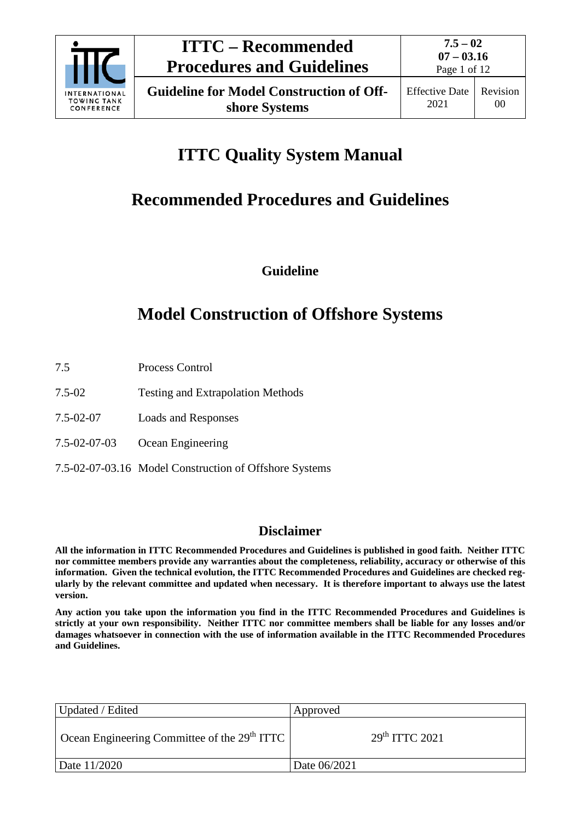

# **ITTC Quality System Manual**

# **Recommended Procedures and Guidelines**

**Guideline**

# **Model Construction of Offshore Systems**

- 7.5 Process Control
- 7.5-02 Testing and Extrapolation Methods
- 7.5-02-07 Loads and Responses
- 7.5-02-07-03 Ocean Engineering
- 7.5-02-07-03.16 Model Construction of Offshore Systems

## **Disclaimer**

**All the information in ITTC Recommended Procedures and Guidelines is published in good faith. Neither ITTC nor committee members provide any warranties about the completeness, reliability, accuracy or otherwise of this information. Given the technical evolution, the ITTC Recommended Procedures and Guidelines are checked regularly by the relevant committee and updated when necessary. It is therefore important to always use the latest version.**

**Any action you take upon the information you find in the ITTC Recommended Procedures and Guidelines is strictly at your own responsibility. Neither ITTC nor committee members shall be liable for any losses and/or damages whatsoever in connection with the use of information available in the ITTC Recommended Procedures and Guidelines.**

| Updated / Edited                                                             | Approved                   |
|------------------------------------------------------------------------------|----------------------------|
| $\perp$ Ocean Engineering Committee of the 29 <sup>th</sup> ITTC $\parallel$ | 29 <sup>th</sup> TTTC 2021 |
| Date 11/2020                                                                 | Date 06/2021               |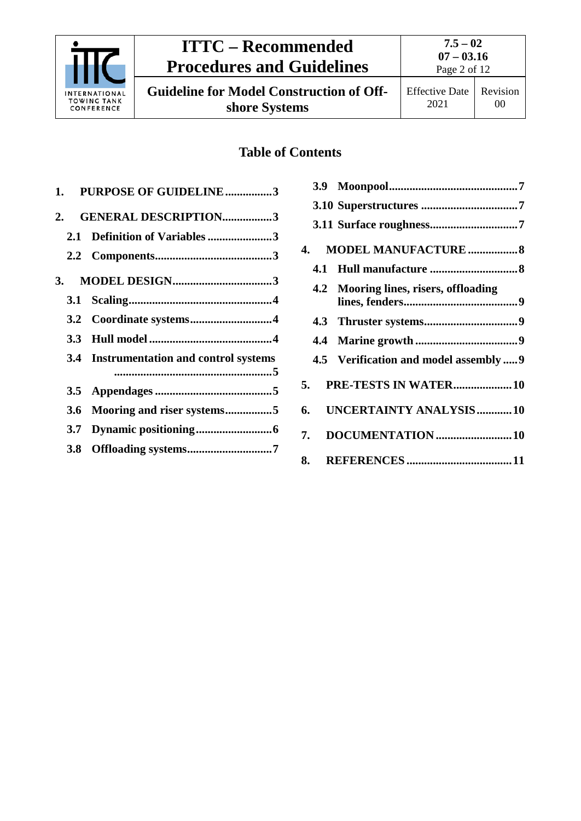

# **ITTC – Recommended Procedures and Guidelines**

**7.5 – 02 07 – 03.16** Page 2 of 12

**Guideline for Model Construction of Offshore Systems**

# **Table of Contents**

|     | 1. PURPOSE OF GUIDELINE3                |
|-----|-----------------------------------------|
|     | 2. GENERAL DESCRIPTION3                 |
|     | 2.1 Definition of Variables 3           |
|     |                                         |
|     |                                         |
|     |                                         |
|     |                                         |
|     |                                         |
|     | 3.4 Instrumentation and control systems |
|     |                                         |
| 3.6 | Mooring and riser systems5              |
|     |                                         |
|     |                                         |
|     |                                         |

|    | 4.  | <b>MODEL MANUFACTURE  8</b>            |
|----|-----|----------------------------------------|
|    | 4.1 |                                        |
|    | 4.2 | Mooring lines, risers, offloading      |
|    |     |                                        |
|    | 4.4 |                                        |
|    |     | 4.5 Verification and model assembly  9 |
|    | 5.  | PRE-TESTS IN WATER 10                  |
| 6. |     | UNCERTAINTY ANALYSIS10                 |
|    | 7.  |                                        |
|    | 8.  |                                        |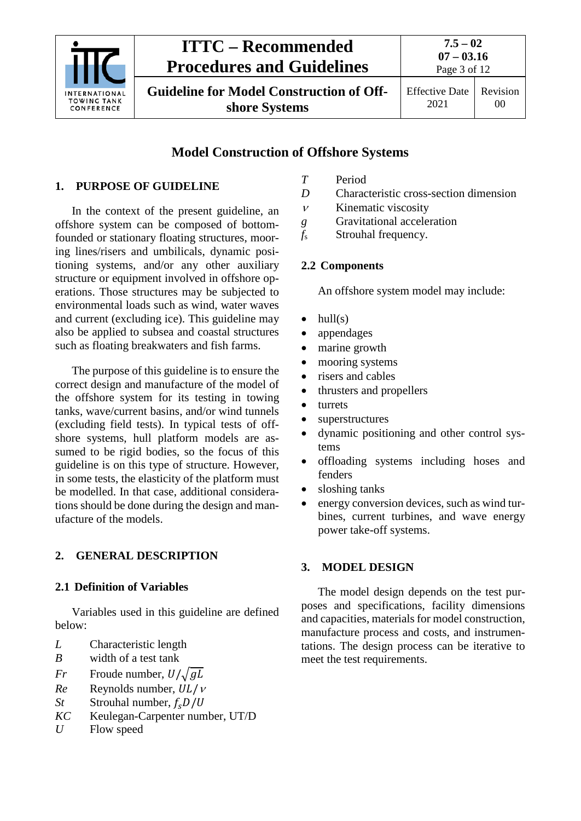

# **ITTC – Recommended Procedures and Guidelines**

**Guideline for Model Construction of Offshore Systems**

**07 – 03.16** Page 3 of 12

**7.5 – 02**

2021

Effective Date Revision 00

# **Model Construction of Offshore Systems**

# <span id="page-2-0"></span>**1. PURPOSE OF GUIDELINE**

In the context of the present guideline, an offshore system can be composed of bottomfounded or stationary floating structures, mooring lines/risers and umbilicals, dynamic positioning systems, and/or any other auxiliary structure or equipment involved in offshore operations. Those structures may be subjected to environmental loads such as wind, water waves and current (excluding ice). This guideline may also be applied to subsea and coastal structures such as floating breakwaters and fish farms.

The purpose of this guideline is to ensure the correct design and manufacture of the model of the offshore system for its testing in towing tanks, wave/current basins, and/or wind tunnels (excluding field tests). In typical tests of offshore systems, hull platform models are assumed to be rigid bodies, so the focus of this guideline is on this type of structure. However, in some tests, the elasticity of the platform must be modelled. In that case, additional considerations should be done during the design and manufacture of the models.

# <span id="page-2-2"></span><span id="page-2-1"></span>**2. GENERAL DESCRIPTION**

# **2.1 Definition of Variables**

Variables used in this guideline are defined below:

- *L* Characteristic length
- *B* width of a test tank
- *Fr* Froude number,  $U/\sqrt{gL}$ <br>*Re* Revnolds number,  $UL/\sqrt{B}$
- *Re* Reynolds number,  $UL/v$ <br>*St* Strouhal number,  $f_c D/U$
- *St* Strouhal number,  $f_s D/U$ <br>*KC* Keulegan-Carpenter num
- Keulegan-Carpenter number, UT/D
- *U* Flow speed
- *T* Period
- *D* Characteristic cross-section dimension
- <sup>ν</sup> Kinematic viscosity
- *g* Gravitational acceleration
- <span id="page-2-3"></span>*f*<sup>s</sup> Strouhal frequency.

# **2.2 Components**

An offshore system model may include:

- $\bullet$  hull(s)
- appendages
- marine growth
- mooring systems
- risers and cables
- thrusters and propellers
- turrets
- superstructures
- dynamic positioning and other control systems
- offloading systems including hoses and fenders
- sloshing tanks
- energy conversion devices, such as wind turbines, current turbines, and wave energy power take-off systems.

## <span id="page-2-4"></span>**3. MODEL DESIGN**

The model design depends on the test purposes and specifications, facility dimensions and capacities, materials for model construction, manufacture process and costs, and instrumentations. The design process can be iterative to meet the test requirements.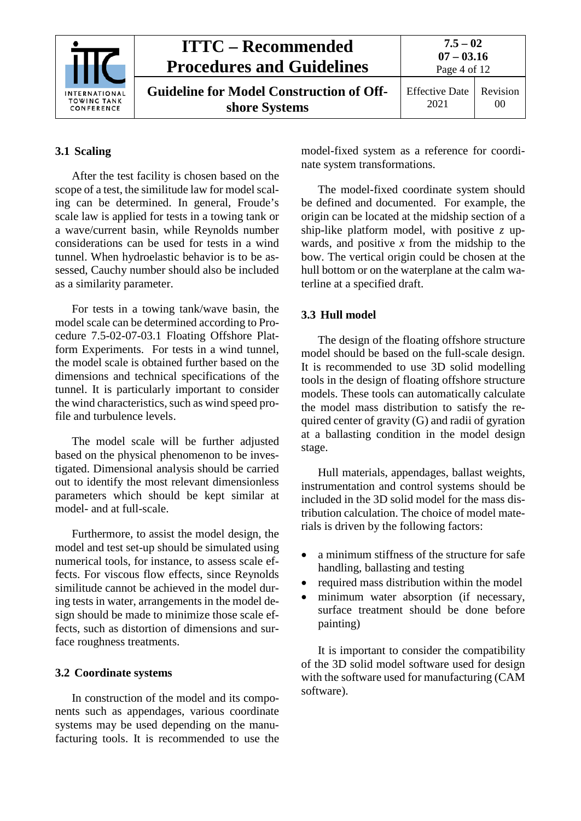|                                                          | <b>ITTC – Recommended</b><br><b>Procedures and Guidelines</b>    | $7.5 - 02$<br>$07 - 03.16$<br>Page 4 of 12 |                |
|----------------------------------------------------------|------------------------------------------------------------------|--------------------------------------------|----------------|
| <b>INTERNATIONAL</b><br><b>TOWING TANK</b><br>CONFERENCE | <b>Guideline for Model Construction of Off-</b><br>shore Systems | <b>Effective Date</b><br>2021              | Revision<br>00 |

## <span id="page-3-0"></span>**3.1 Scaling**

After the test facility is chosen based on the scope of a test, the similitude law for model scaling can be determined. In general, Froude's scale law is applied for tests in a towing tank or a wave/current basin, while Reynolds number considerations can be used for tests in a wind tunnel. When hydroelastic behavior is to be assessed, Cauchy number should also be included as a similarity parameter.

For tests in a towing tank/wave basin, the model scale can be determined according to Procedure 7.5-02-07-03.1 Floating Offshore Platform Experiments. For tests in a wind tunnel, the model scale is obtained further based on the dimensions and technical specifications of the tunnel. It is particularly important to consider the wind characteristics, such as wind speed profile and turbulence levels.

The model scale will be further adjusted based on the physical phenomenon to be investigated. Dimensional analysis should be carried out to identify the most relevant dimensionless parameters which should be kept similar at model- and at full-scale.

Furthermore, to assist the model design, the model and test set-up should be simulated using numerical tools, for instance, to assess scale effects. For viscous flow effects, since Reynolds similitude cannot be achieved in the model during tests in water, arrangements in the model design should be made to minimize those scale effects, such as distortion of dimensions and surface roughness treatments.

#### <span id="page-3-1"></span>**3.2 Coordinate systems**

In construction of the model and its components such as appendages, various coordinate systems may be used depending on the manufacturing tools. It is recommended to use the model-fixed system as a reference for coordinate system transformations.

The model-fixed coordinate system should be defined and documented. For example, the origin can be located at the midship section of a ship-like platform model, with positive *z* upwards, and positive  $x$  from the midship to the bow. The vertical origin could be chosen at the hull bottom or on the waterplane at the calm waterline at a specified draft.

### <span id="page-3-2"></span>**3.3 Hull model**

The design of the floating offshore structure model should be based on the full-scale design. It is recommended to use 3D solid modelling tools in the design of floating offshore structure models. These tools can automatically calculate the model mass distribution to satisfy the required center of gravity (G) and radii of gyration at a ballasting condition in the model design stage.

Hull materials, appendages, ballast weights, instrumentation and control systems should be included in the 3D solid model for the mass distribution calculation. The choice of model materials is driven by the following factors:

- a minimum stiffness of the structure for safe handling, ballasting and testing
- required mass distribution within the model
- minimum water absorption (if necessary, surface treatment should be done before painting)

It is important to consider the compatibility of the 3D solid model software used for design with the software used for manufacturing (CAM software).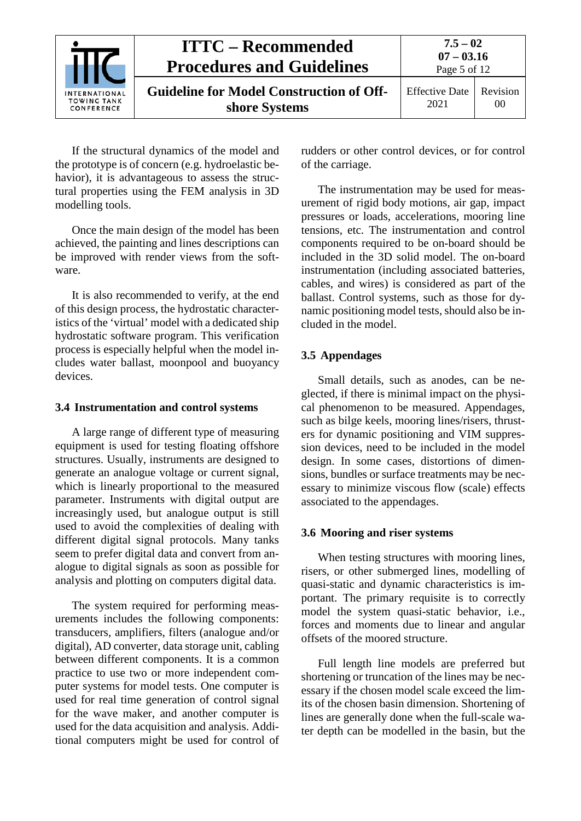|                                                          | <b>ITTC – Recommended</b><br><b>Procedures and Guidelines</b>    | $7.5 - 02$<br>$07 - 03.16$<br>Page 5 of 12 |                            |
|----------------------------------------------------------|------------------------------------------------------------------|--------------------------------------------|----------------------------|
| <b>INTERNATIONAL</b><br><b>TOWING TANK</b><br>CONFERENCE | <b>Guideline for Model Construction of Off-</b><br>shore Systems | <b>Effective Date</b><br>2021              | Revision<br>0 <sup>0</sup> |

If the structural dynamics of the model and the prototype is of concern (e.g. hydroelastic behavior), it is advantageous to assess the structural properties using the FEM analysis in 3D modelling tools.

Once the main design of the model has been achieved, the painting and lines descriptions can be improved with render views from the software.

It is also recommended to verify, at the end of this design process, the hydrostatic characteristics of the 'virtual' model with a dedicated ship hydrostatic software program. This verification process is especially helpful when the model includes water ballast, moonpool and buoyancy devices.

#### <span id="page-4-0"></span>**3.4 Instrumentation and control systems**

A large range of different type of measuring equipment is used for testing floating offshore structures. Usually, instruments are designed to generate an analogue voltage or current signal, which is linearly proportional to the measured parameter. Instruments with digital output are increasingly used, but analogue output is still used to avoid the complexities of dealing with different digital signal protocols. Many tanks seem to prefer digital data and convert from analogue to digital signals as soon as possible for analysis and plotting on computers digital data.

The system required for performing measurements includes the following components: transducers, amplifiers, filters (analogue and/or digital), AD converter, data storage unit, cabling between different components. It is a common practice to use two or more independent computer systems for model tests. One computer is used for real time generation of control signal for the wave maker, and another computer is used for the data acquisition and analysis. Additional computers might be used for control of rudders or other control devices, or for control of the carriage.

The instrumentation may be used for measurement of rigid body motions, air gap, impact pressures or loads, accelerations, mooring line tensions, etc. The instrumentation and control components required to be on-board should be included in the 3D solid model. The on-board instrumentation (including associated batteries, cables, and wires) is considered as part of the ballast. Control systems, such as those for dynamic positioning model tests, should also be included in the model.

### <span id="page-4-1"></span>**3.5 Appendages**

Small details, such as anodes, can be neglected, if there is minimal impact on the physical phenomenon to be measured. Appendages, such as bilge keels, mooring lines/risers, thrusters for dynamic positioning and VIM suppression devices, need to be included in the model design. In some cases, distortions of dimensions, bundles or surface treatments may be necessary to minimize viscous flow (scale) effects associated to the appendages.

#### <span id="page-4-2"></span>**3.6 Mooring and riser systems**

When testing structures with mooring lines, risers, or other submerged lines, modelling of quasi-static and dynamic characteristics is important. The primary requisite is to correctly model the system quasi-static behavior, i.e., forces and moments due to linear and angular offsets of the moored structure.

Full length line models are preferred but shortening or truncation of the lines may be necessary if the chosen model scale exceed the limits of the chosen basin dimension. Shortening of lines are generally done when the full-scale water depth can be modelled in the basin, but the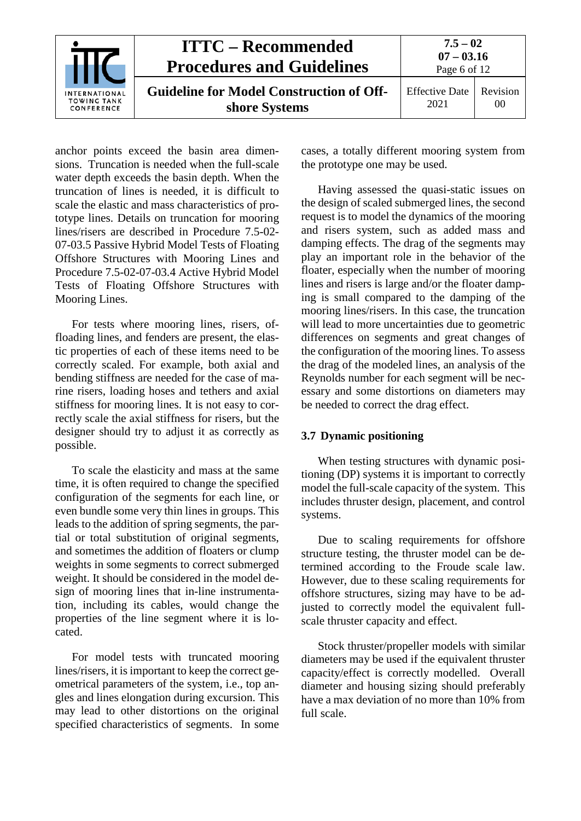

anchor points exceed the basin area dimensions. Truncation is needed when the full-scale water depth exceeds the basin depth. When the truncation of lines is needed, it is difficult to scale the elastic and mass characteristics of prototype lines. Details on truncation for mooring lines/risers are described in Procedure 7.5-02- 07-03.5 Passive Hybrid Model Tests of Floating Offshore Structures with Mooring Lines and Procedure 7.5-02-07-03.4 Active Hybrid Model Tests of Floating Offshore Structures with Mooring Lines.

For tests where mooring lines, risers, offloading lines, and fenders are present, the elastic properties of each of these items need to be correctly scaled. For example, both axial and bending stiffness are needed for the case of marine risers, loading hoses and tethers and axial stiffness for mooring lines. It is not easy to correctly scale the axial stiffness for risers, but the designer should try to adjust it as correctly as possible.

To scale the elasticity and mass at the same time, it is often required to change the specified configuration of the segments for each line, or even bundle some very thin lines in groups. This leads to the addition of spring segments, the partial or total substitution of original segments, and sometimes the addition of floaters or clump weights in some segments to correct submerged weight. It should be considered in the model design of mooring lines that in-line instrumentation, including its cables, would change the properties of the line segment where it is located.

For model tests with truncated mooring lines/risers, it is important to keep the correct geometrical parameters of the system, i.e., top angles and lines elongation during excursion. This may lead to other distortions on the original specified characteristics of segments. In some cases, a totally different mooring system from the prototype one may be used.

Having assessed the quasi-static issues on the design of scaled submerged lines, the second request is to model the dynamics of the mooring and risers system, such as added mass and damping effects. The drag of the segments may play an important role in the behavior of the floater, especially when the number of mooring lines and risers is large and/or the floater damping is small compared to the damping of the mooring lines/risers. In this case, the truncation will lead to more uncertainties due to geometric differences on segments and great changes of the configuration of the mooring lines. To assess the drag of the modeled lines, an analysis of the Reynolds number for each segment will be necessary and some distortions on diameters may be needed to correct the drag effect.

### <span id="page-5-0"></span>**3.7 Dynamic positioning**

When testing structures with dynamic positioning (DP) systems it is important to correctly model the full-scale capacity of the system. This includes thruster design, placement, and control systems.

Due to scaling requirements for offshore structure testing, the thruster model can be determined according to the Froude scale law. However, due to these scaling requirements for offshore structures, sizing may have to be adjusted to correctly model the equivalent fullscale thruster capacity and effect.

Stock thruster/propeller models with similar diameters may be used if the equivalent thruster capacity/effect is correctly modelled. Overall diameter and housing sizing should preferably have a max deviation of no more than 10% from full scale.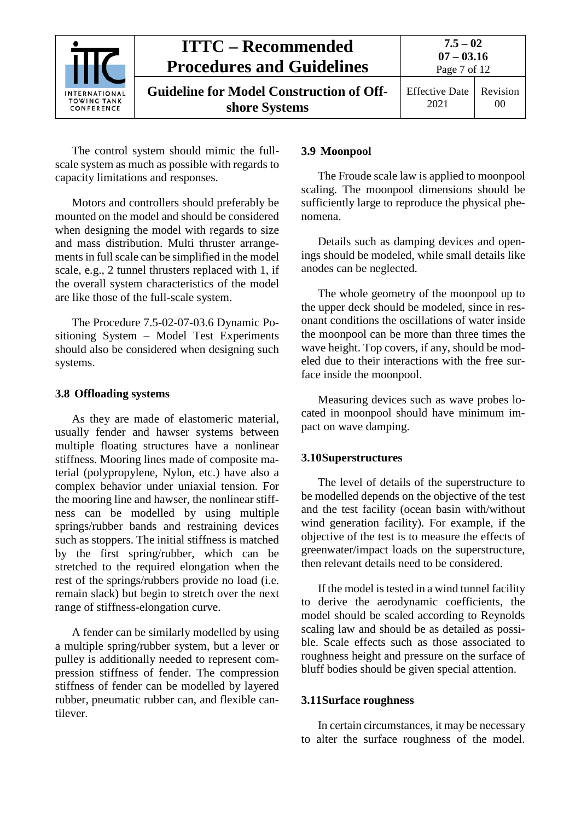

The control system should mimic the fullscale system as much as possible with regards to capacity limitations and responses.

Motors and controllers should preferably be mounted on the model and should be considered when designing the model with regards to size and mass distribution. Multi thruster arrangements in full scale can be simplified in the model scale, e.g., 2 tunnel thrusters replaced with 1, if the overall system characteristics of the model are like those of the full-scale system.

The Procedure 7.5-02-07-03.6 Dynamic Positioning System – Model Test Experiments should also be considered when designing such systems.

#### <span id="page-6-0"></span>**3.8 Offloading systems**

As they are made of elastomeric material, usually fender and hawser systems between multiple floating structures have a nonlinear stiffness. Mooring lines made of composite material (polypropylene, Nylon, etc.) have also a complex behavior under uniaxial tension. For the mooring line and hawser, the nonlinear stiffness can be modelled by using multiple springs/rubber bands and restraining devices such as stoppers. The initial stiffness is matched by the first spring/rubber, which can be stretched to the required elongation when the rest of the springs/rubbers provide no load (i.e. remain slack) but begin to stretch over the next range of stiffness-elongation curve.

A fender can be similarly modelled by using a multiple spring/rubber system, but a lever or pulley is additionally needed to represent compression stiffness of fender. The compression stiffness of fender can be modelled by layered rubber, pneumatic rubber can, and flexible cantilever.

#### <span id="page-6-1"></span>**3.9 Moonpool**

The Froude scale law is applied to moonpool scaling. The moonpool dimensions should be sufficiently large to reproduce the physical phenomena.

Details such as damping devices and openings should be modeled, while small details like anodes can be neglected.

The whole geometry of the moonpool up to the upper deck should be modeled, since in resonant conditions the oscillations of water inside the moonpool can be more than three times the wave height. Top covers, if any, should be modeled due to their interactions with the free surface inside the moonpool.

Measuring devices such as wave probes located in moonpool should have minimum impact on wave damping.

#### <span id="page-6-2"></span>**3.10Superstructures**

The level of details of the superstructure to be modelled depends on the objective of the test and the test facility (ocean basin with/without wind generation facility). For example, if the objective of the test is to measure the effects of greenwater/impact loads on the superstructure, then relevant details need to be considered.

If the model is tested in a wind tunnel facility to derive the aerodynamic coefficients, the model should be scaled according to Reynolds scaling law and should be as detailed as possible. Scale effects such as those associated to roughness height and pressure on the surface of bluff bodies should be given special attention.

#### <span id="page-6-3"></span>**3.11Surface roughness**

In certain circumstances, it may be necessary to alter the surface roughness of the model.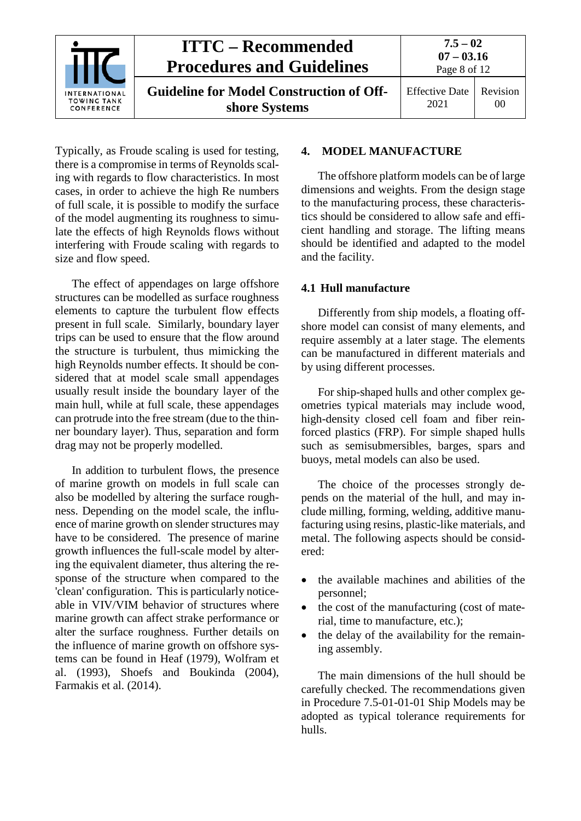

Typically, as Froude scaling is used for testing, there is a compromise in terms of Reynolds scaling with regards to flow characteristics. In most cases, in order to achieve the high Re numbers of full scale, it is possible to modify the surface of the model augmenting its roughness to simulate the effects of high Reynolds flows without interfering with Froude scaling with regards to size and flow speed.

The effect of appendages on large offshore structures can be modelled as surface roughness elements to capture the turbulent flow effects present in full scale. Similarly, boundary layer trips can be used to ensure that the flow around the structure is turbulent, thus mimicking the high Reynolds number effects. It should be considered that at model scale small appendages usually result inside the boundary layer of the main hull, while at full scale, these appendages can protrude into the free stream (due to the thinner boundary layer). Thus, separation and form drag may not be properly modelled.

In addition to turbulent flows, the presence of marine growth on models in full scale can also be modelled by altering the surface roughness. Depending on the model scale, the influence of marine growth on slender structures may have to be considered. The presence of marine growth influences the full-scale model by altering the equivalent diameter, thus altering the response of the structure when compared to the 'clean' configuration. This is particularly noticeable in VIV/VIM behavior of structures where marine growth can affect strake performance or alter the surface roughness. Further details on the influence of marine growth on offshore systems can be found in Heaf (1979), Wolfram et al. (1993), Shoefs and Boukinda (2004), Farmakis et al. (2014).

## <span id="page-7-0"></span>**4. MODEL MANUFACTURE**

The offshore platform models can be of large dimensions and weights. From the design stage to the manufacturing process, these characteristics should be considered to allow safe and efficient handling and storage. The lifting means should be identified and adapted to the model and the facility.

#### <span id="page-7-1"></span>**4.1 Hull manufacture**

Differently from ship models, a floating offshore model can consist of many elements, and require assembly at a later stage. The elements can be manufactured in different materials and by using different processes.

For ship-shaped hulls and other complex geometries typical materials may include wood, high-density closed cell foam and fiber reinforced plastics (FRP). For simple shaped hulls such as semisubmersibles, barges, spars and buoys, metal models can also be used.

The choice of the processes strongly depends on the material of the hull, and may include milling, forming, welding, additive manufacturing using resins, plastic-like materials, and metal. The following aspects should be considered:

- the available machines and abilities of the personnel;
- the cost of the manufacturing (cost of material, time to manufacture, etc.);
- the delay of the availability for the remaining assembly.

The main dimensions of the hull should be carefully checked. The recommendations given in Procedure 7.5-01-01-01 Ship Models may be adopted as typical tolerance requirements for hulls.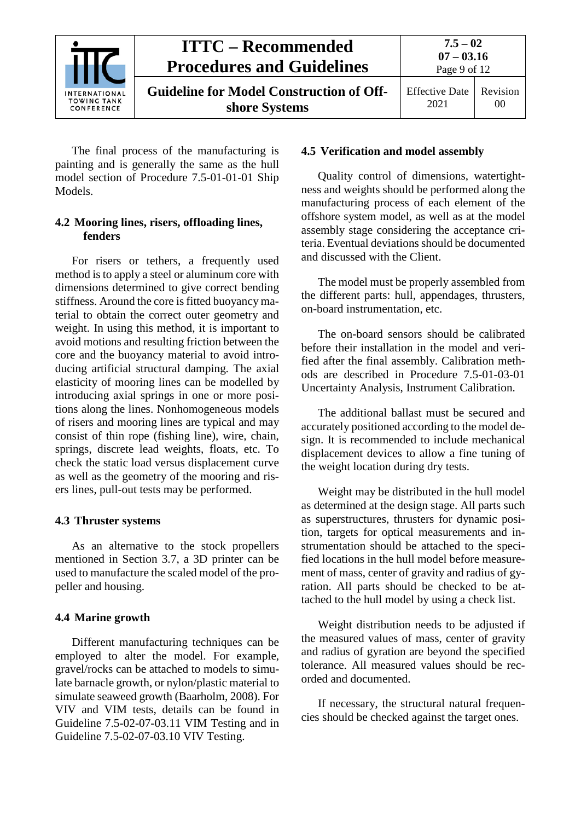

The final process of the manufacturing is painting and is generally the same as the hull model section of Procedure 7.5-01-01-01 Ship Models.

### <span id="page-8-0"></span>**4.2 Mooring lines, risers, offloading lines, fenders**

For risers or tethers, a frequently used method is to apply a steel or aluminum core with dimensions determined to give correct bending stiffness. Around the core is fitted buoyancy material to obtain the correct outer geometry and weight. In using this method, it is important to avoid motions and resulting friction between the core and the buoyancy material to avoid introducing artificial structural damping. The axial elasticity of mooring lines can be modelled by introducing axial springs in one or more positions along the lines. Nonhomogeneous models of risers and mooring lines are typical and may consist of thin rope (fishing line), wire, chain, springs, discrete lead weights, floats, etc. To check the static load versus displacement curve as well as the geometry of the mooring and risers lines, pull-out tests may be performed.

#### <span id="page-8-1"></span>**4.3 Thruster systems**

As an alternative to the stock propellers mentioned in Section 3.7, a 3D printer can be used to manufacture the scaled model of the propeller and housing.

#### <span id="page-8-2"></span>**4.4 Marine growth**

Different manufacturing techniques can be employed to alter the model. For example, gravel/rocks can be attached to models to simulate barnacle growth, or nylon/plastic material to simulate seaweed growth (Baarholm, 2008). For VIV and VIM tests, details can be found in Guideline 7.5-02-07-03.11 VIM Testing and in Guideline 7.5-02-07-03.10 VIV Testing.

#### <span id="page-8-3"></span>**4.5 Verification and model assembly**

Quality control of dimensions, watertightness and weights should be performed along the manufacturing process of each element of the offshore system model, as well as at the model assembly stage considering the acceptance criteria. Eventual deviations should be documented and discussed with the Client.

The model must be properly assembled from the different parts: hull, appendages, thrusters, on-board instrumentation, etc.

The on-board sensors should be calibrated before their installation in the model and verified after the final assembly. Calibration methods are described in Procedure 7.5-01-03-01 Uncertainty Analysis, Instrument Calibration.

The additional ballast must be secured and accurately positioned according to the model design. It is recommended to include mechanical displacement devices to allow a fine tuning of the weight location during dry tests.

Weight may be distributed in the hull model as determined at the design stage. All parts such as superstructures, thrusters for dynamic position, targets for optical measurements and instrumentation should be attached to the specified locations in the hull model before measurement of mass, center of gravity and radius of gyration. All parts should be checked to be attached to the hull model by using a check list.

Weight distribution needs to be adjusted if the measured values of mass, center of gravity and radius of gyration are beyond the specified tolerance. All measured values should be recorded and documented.

If necessary, the structural natural frequencies should be checked against the target ones.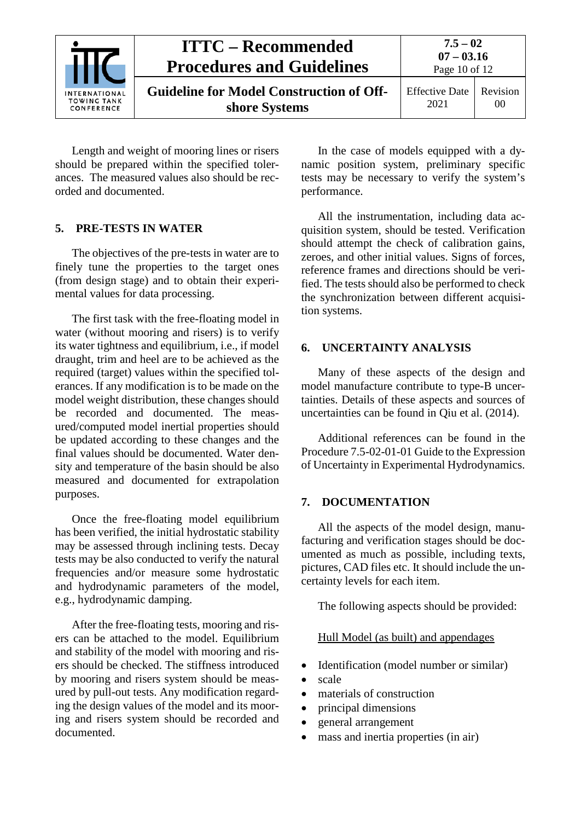|                                                   | <b>ITTC – Recommended</b><br><b>Procedures and Guidelines</b>    | $7.5 - 02$<br>$07 - 03.16$<br>Page 10 of 12 |                |
|---------------------------------------------------|------------------------------------------------------------------|---------------------------------------------|----------------|
| <b>INTERNATIONAL</b><br>TOWING TANK<br>CONFERENCE | <b>Guideline for Model Construction of Off-</b><br>shore Systems | <b>Effective Date</b><br>2021               | Revision<br>00 |

Length and weight of mooring lines or risers should be prepared within the specified tolerances. The measured values also should be recorded and documented.

### <span id="page-9-0"></span>**5. PRE-TESTS IN WATER**

The objectives of the pre-tests in water are to finely tune the properties to the target ones (from design stage) and to obtain their experimental values for data processing.

The first task with the free-floating model in water (without mooring and risers) is to verify its water tightness and equilibrium, i.e., if model draught, trim and heel are to be achieved as the required (target) values within the specified tolerances. If any modification is to be made on the model weight distribution, these changes should be recorded and documented. The measured/computed model inertial properties should be updated according to these changes and the final values should be documented. Water density and temperature of the basin should be also measured and documented for extrapolation purposes.

Once the free-floating model equilibrium has been verified, the initial hydrostatic stability may be assessed through inclining tests. Decay tests may be also conducted to verify the natural frequencies and/or measure some hydrostatic and hydrodynamic parameters of the model, e.g., hydrodynamic damping.

After the free-floating tests, mooring and risers can be attached to the model. Equilibrium and stability of the model with mooring and risers should be checked. The stiffness introduced by mooring and risers system should be measured by pull-out tests. Any modification regarding the design values of the model and its mooring and risers system should be recorded and documented.

In the case of models equipped with a dynamic position system, preliminary specific tests may be necessary to verify the system's performance.

All the instrumentation, including data acquisition system, should be tested. Verification should attempt the check of calibration gains, zeroes, and other initial values. Signs of forces, reference frames and directions should be verified. The tests should also be performed to check the synchronization between different acquisition systems.

### <span id="page-9-1"></span>**6. UNCERTAINTY ANALYSIS**

Many of these aspects of the design and model manufacture contribute to type-B uncertainties. Details of these aspects and sources of uncertainties can be found in Qiu et al. (2014).

Additional references can be found in the Procedure 7.5-02-01-01 Guide to the Expression of Uncertainty in Experimental Hydrodynamics.

#### <span id="page-9-2"></span>**7. DOCUMENTATION**

All the aspects of the model design, manufacturing and verification stages should be documented as much as possible, including texts, pictures, CAD files etc. It should include the uncertainty levels for each item.

The following aspects should be provided:

#### Hull Model (as built) and appendages

- Identification (model number or similar)
- scale
- materials of construction
- principal dimensions
- general arrangement
- mass and inertia properties (in air)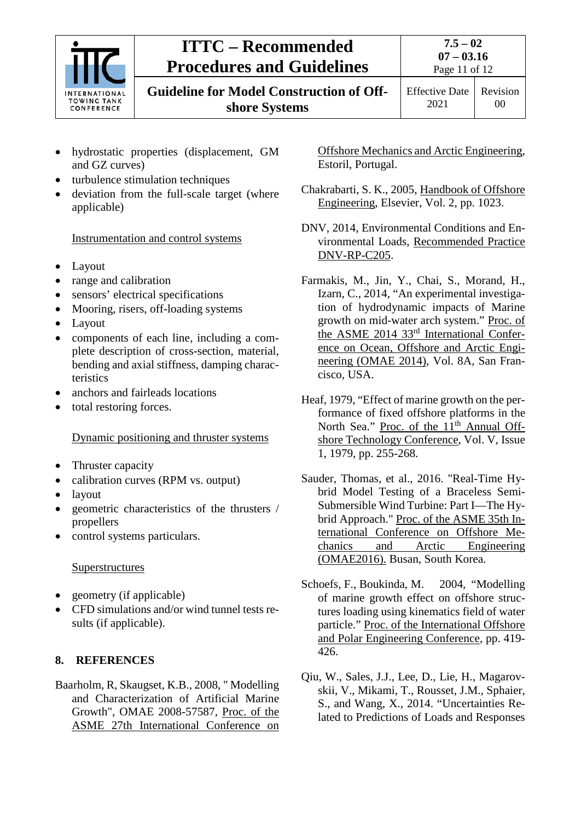

# **ITTC – Recommended Procedures and Guidelines**

**Guideline for Model Construction of Offshore Systems**

Effective Date 2021 Revision

00

- hydrostatic properties (displacement, GM and GZ curves)
- turbulence stimulation techniques
- deviation from the full-scale target (where applicable)

Instrumentation and control systems

- Layout
- range and calibration
- sensors' electrical specifications
- Mooring, risers, off-loading systems
- Layout
- components of each line, including a complete description of cross-section, material, bending and axial stiffness, damping characteristics
- anchors and fairleads locations
- total restoring forces.

## Dynamic positioning and thruster systems

- Thruster capacity
- calibration curves (RPM vs. output)
- layout
- geometric characteristics of the thrusters / propellers
- control systems particulars.

## **Superstructures**

- geometry (if applicable)
- CFD simulations and/or wind tunnel tests results (if applicable).

## <span id="page-10-0"></span>**8. REFERENCES**

Baarholm, R, Skaugset, K.B., 2008, " Modelling and Characterization of Artificial Marine Growth", OMAE 2008-57587, Proc. of the ASME 27th International Conference on Offshore Mechanics and Arctic Engineering, Estoril, Portugal.

- Chakrabarti, S. K., 2005, Handbook of Offshore Engineering, Elsevier, Vol. 2, pp. 1023.
- DNV, 2014, Environmental Conditions and Environmental Loads, Recommended Practice DNV-RP-C205.
- Farmakis, M., Jin, Y., Chai, S., Morand, H., Izarn, C., 2014, "An experimental investigation of hydrodynamic impacts of Marine growth on mid-water arch system." Proc. of the ASME 2014 33rd International Conference on Ocean, Offshore and Arctic Engineering (OMAE 2014), Vol. 8A, San Francisco, USA.
- Heaf, 1979, "Effect of marine growth on the performance of fixed offshore platforms in the North Sea." Proc. of the 11<sup>th</sup> Annual Offshore Technology Conference, Vol. V, Issue 1, 1979, pp. 255-268.
- Sauder, Thomas, et al., 2016. "Real-Time Hybrid Model Testing of a Braceless Semi-Submersible Wind Turbine: Part I—The Hybrid Approach." Proc. of the ASME 35th International Conference on Offshore Mechanics and Arctic Engineering (OMAE2016). Busan, South Korea.
- Schoefs, F., Boukinda, M. 2004, "Modelling of marine growth effect on offshore structures loading using kinematics field of water particle." Proc. of the International Offshore and Polar Engineering Conference, pp. 419- 426.
- Qiu, W., Sales, J.J., Lee, D., Lie, H., Magarovskii, V., Mikami, T., Rousset, J.M., Sphaier, S., and Wang, X., 2014. "Uncertainties Related to Predictions of Loads and Responses